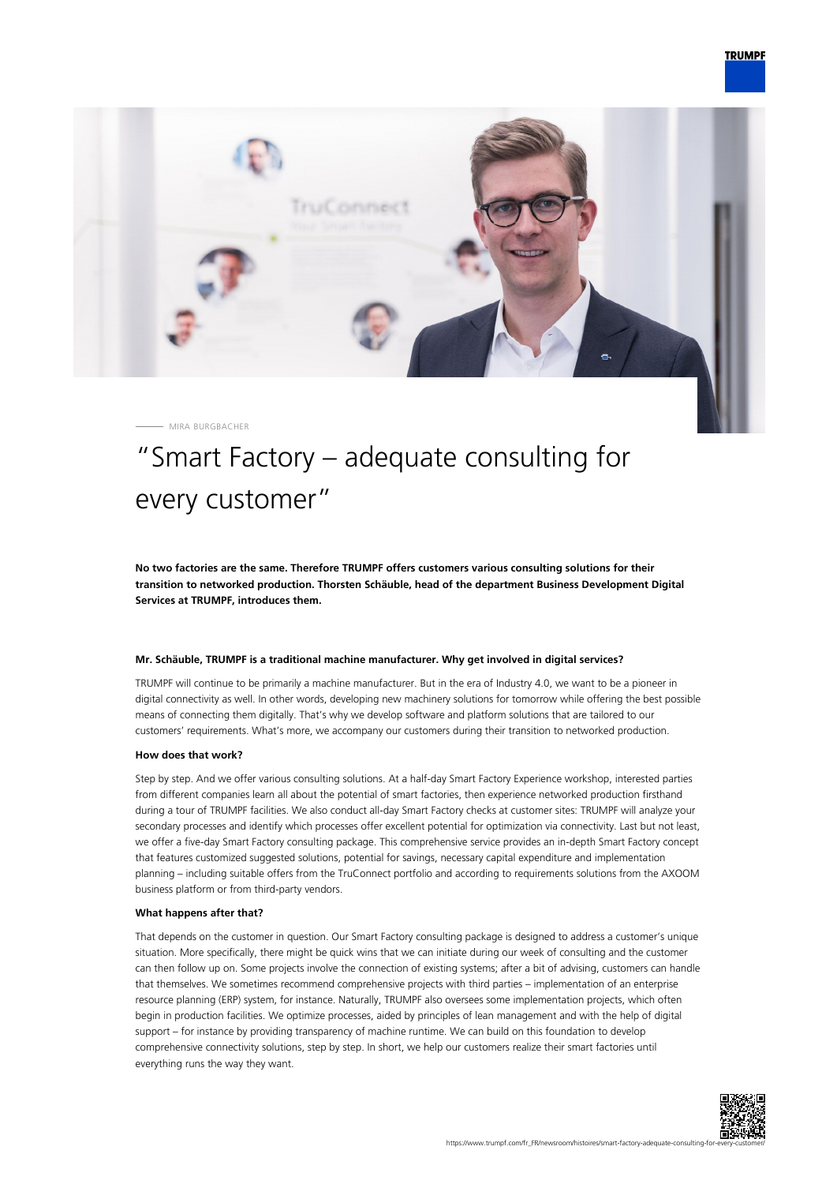

MIRA BURGBACHER

# "Smart Factory – adequate consulting for every customer"

**No two factories are the same. Therefore TRUMPF offers customers various consulting solutions for their transition to networked production. Thorsten Schäuble, head of the department Business Development Digital Services at TRUMPF, introduces them.**

### **Mr. Schäuble, TRUMPF is a traditional machine manufacturer. Why get involved in digital services?**

TRUMPF will continue to be primarily a machine manufacturer. But in the era of Industry 4.0, we want to be a pioneer in digital connectivity as well. In other words, developing new machinery solutions for tomorrow while offering the best possible means of connecting them digitally. That's why we develop software and platform solutions that are tailored to our customers' requirements. What's more, we accompany our customers during their transition to networked production.

#### **How does that work?**

Step by step. And we offer various consulting solutions. At a half-day Smart Factory Experience workshop, interested parties from different companies learn all about the potential of smart factories, then experience networked production firsthand during a tour of TRUMPF facilities. We also conduct all-day Smart Factory checks at customer sites: TRUMPF will analyze your secondary processes and identify which processes offer excellent potential for optimization via connectivity. Last but not least, we offer a five-day Smart Factory consulting package. This comprehensive service provides an in-depth Smart Factory concept that features customized suggested solutions, potential for savings, necessary capital expenditure and implementation planning – including suitable offers from the TruConnect portfolio and according to requirements solutions from the AXOOM business platform or from third-party vendors.

#### **What happens after that?**

That depends on the customer in question. Our Smart Factory consulting package is designed to address a customer's unique situation. More specifically, there might be quick wins that we can initiate during our week of consulting and the customer can then follow up on. Some projects involve the connection of existing systems; after a bit of advising, customers can handle that themselves. We sometimes recommend comprehensive projects with third parties – implementation of an enterprise resource planning (ERP) system, for instance. Naturally, TRUMPF also oversees some implementation projects, which often begin in production facilities. We optimize processes, aided by principles of lean management and with the help of digital support – for instance by providing transparency of machine runtime. We can build on this foundation to develop comprehensive connectivity solutions, step by step. In short, we help our customers realize their smart factories until everything runs the way they want.